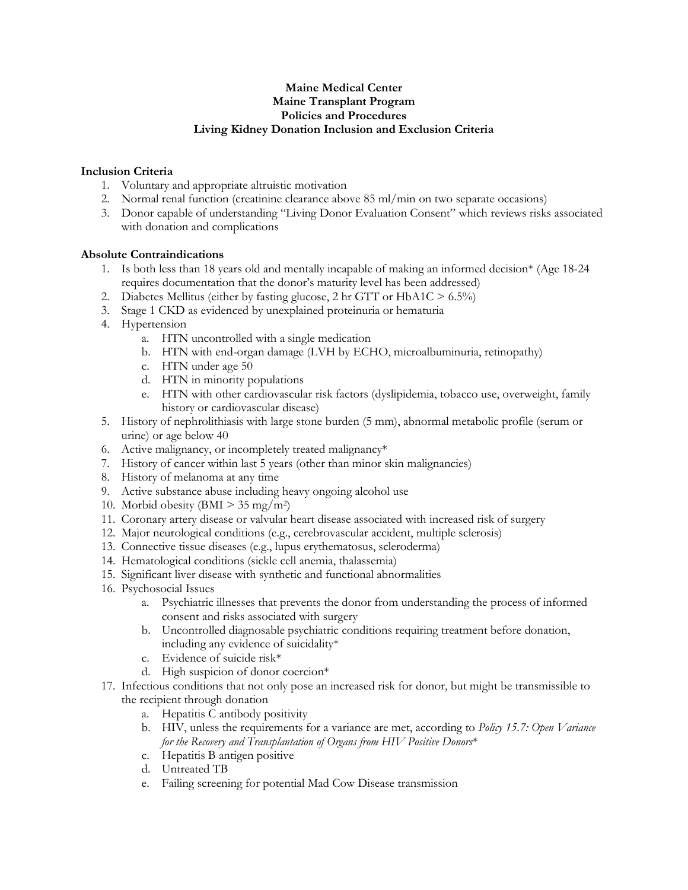## **Maine Medical Center Maine Transplant Program Policies and Procedures Living Kidney Donation Inclusion and Exclusion Criteria**

## **Inclusion Criteria**

- 1. Voluntary and appropriate altruistic motivation
- 2. Normal renal function (creatinine clearance above 85 ml/min on two separate occasions)
- 3. Donor capable of understanding "Living Donor Evaluation Consent" which reviews risks associated with donation and complications

## **Absolute Contraindications**

- 1. Is both less than 18 years old and mentally incapable of making an informed decision\* (Age 18-24 requires documentation that the donor's maturity level has been addressed)
- 2. Diabetes Mellitus (either by fasting glucose, 2 hr GTT or HbA1C > 6.5%)
- 3. Stage 1 CKD as evidenced by unexplained proteinuria or hematuria
- 4. Hypertension
	- a. HTN uncontrolled with a single medication
	- b. HTN with end-organ damage (LVH by ECHO, microalbuminuria, retinopathy)
	- c. HTN under age 50
	- d. HTN in minority populations
	- e. HTN with other cardiovascular risk factors (dyslipidemia, tobacco use, overweight, family history or cardiovascular disease)
- 5. History of nephrolithiasis with large stone burden (5 mm), abnormal metabolic profile (serum or urine) or age below 40
- 6. Active malignancy, or incompletely treated malignancy\*
- 7. History of cancer within last 5 years (other than minor skin malignancies)
- 8. History of melanoma at any time
- 9. Active substance abuse including heavy ongoing alcohol use
- 10. Morbid obesity (BMI  $> 35$  mg/m<sup>2</sup>)
- 11. Coronary artery disease or valvular heart disease associated with increased risk of surgery
- 12. Major neurological conditions (e.g., cerebrovascular accident, multiple sclerosis)
- 13. Connective tissue diseases (e.g., lupus erythematosus, scleroderma)
- 14. Hematological conditions (sickle cell anemia, thalassemia)
- 15. Significant liver disease with synthetic and functional abnormalities
- 16. Psychosocial Issues
	- a. Psychiatric illnesses that prevents the donor from understanding the process of informed consent and risks associated with surgery
	- b. Uncontrolled diagnosable psychiatric conditions requiring treatment before donation, including any evidence of suicidality\*
	- c. Evidence of suicide risk\*
	- d. High suspicion of donor coercion\*
- 17. Infectious conditions that not only pose an increased risk for donor, but might be transmissible to the recipient through donation
	- a. Hepatitis C antibody positivity
	- b. HIV, unless the requirements for a variance are met, according to *Policy 15.7: Open Variance for the Recovery and Transplantation of Organs from HIV Positive Donors*\*
	- c. Hepatitis B antigen positive
	- d. Untreated TB
	- e. Failing screening for potential Mad Cow Disease transmission